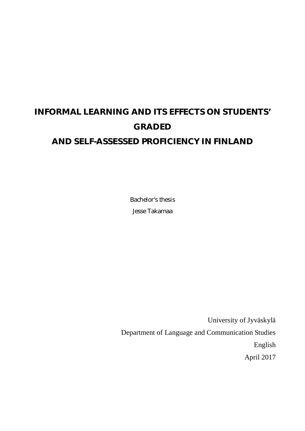# **INFORMAL LEARNING AND ITS EFFECTS ON STUDENTS' GRADED AND SELF-ASSESSED PROFICIENCY IN FINLAND**

Bachelor's thesis Jesse Takamaa

University of Jyväskylä Department of Language and Communication Studies English April 2017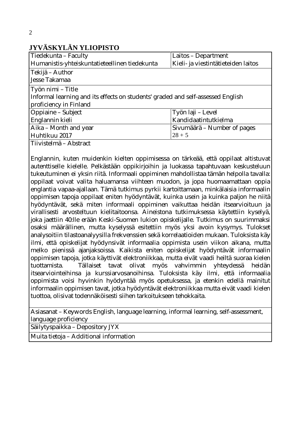# **JYVÄSKYLÄN YLIOPISTO**

| Tiedekunta – Faculty                                                            | Laitos - Department                 |
|---------------------------------------------------------------------------------|-------------------------------------|
| Humanistis-yhteiskuntatieteellinen tiedekunta                                   | Kieli- ja viestintätieteiden laitos |
| Tekijä – Author                                                                 |                                     |
| Jesse Takamaa                                                                   |                                     |
| Työn nimi – Title                                                               |                                     |
| Informal learning and its effects on students' graded and self-assessed English |                                     |
| proficiency in Finland                                                          |                                     |
| Oppiaine – Subject                                                              | Työn Iaji – Level                   |
| Englannin kieli                                                                 | Kandidaatintutkielma                |
| Aika – Month and year                                                           | Sivumäärä – Number of pages         |
| Huhtikuu 2017                                                                   | $28 + 5$                            |
| Tiivistelmä – Abstract                                                          |                                     |

Englannin, kuten muidenkin kielten oppimisessa on tärkeää, että oppilaat altistuvat autenttiselle kielelle. Pelkästään oppikirjoihin ja luokassa tapahtuvaan keskusteluun tukeutuminen ei yksin riitä. Informaali oppiminen mahdollistaa tämän helpolla tavalla: oppilaat voivat valita haluamansa viihteen muodon, ja jopa huomaamattaan oppia englantia vapaa-ajallaan. Tämä tutkimus pyrkii kartoittamaan, minkälaisia informaalin oppimisen tapoja oppilaat eniten hyödyntävät, kuinka usein ja kuinka paljon he niitä hyödyntävät, sekä miten informaali oppiminen vaikuttaa heidän itsearvioituun ja virallisesti arvosteltuun kielitaitoonsa. Aineistona tutkimuksessa käytettiin kyselyä, joka jaettiin 40:lle erään Keski-Suomen lukion opiskelijalle. Tutkimus on suurimmaksi osaksi määrällinen, mutta kyselyssä esitettiin myös yksi avoin kysymys. Tulokset analysoitiin tilastoanalyysilla frekvenssien sekä korrelaatioiden mukaan. Tuloksista käy ilmi, että opiskelijat hyödynsivät informaalia oppimista usein viikon aikana, mutta melko pienissä ajanjaksoissa. Kaikista eniten opiskelijat hyödyntävät informaalin oppimisen tapoja, jotka käyttivät elektroniikkaa, mutta eivät vaadi heiltä suoraa kielen tuottamista. Tällaiset tavat olivat myös vahvimmin yhteydessä heidän itsearviointeihinsa ja kurssiarvosanoihinsa. Tuloksista käy ilmi, että informaalia oppimista voisi hyvinkin hyödyntää myös opetuksessa, ja etenkin edellä mainitut informaalin oppimisen tavat, jotka hyödyntävät elektroniikkaa mutta eivät vaadi kielen tuottoa, olisivat todennäköisesti siihen tarkoitukseen tehokkaita.

Asiasanat – Keywords English, language learning, informal learning, self-assessment, language proficiency

Säilytyspaikka – Depository JYX

Muita tietoja – Additional information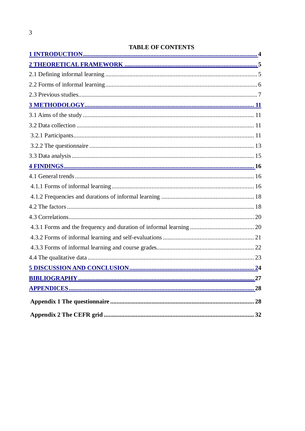# **TABLE OF CONTENTS**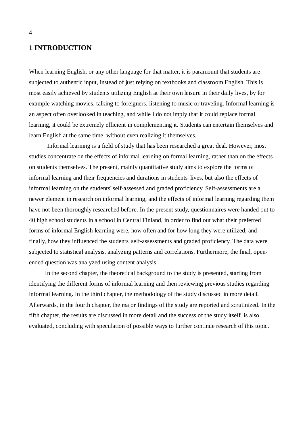## **1 INTRODUCTION**

When learning English, or any other language for that matter, it is paramount that students are subjected to authentic input, instead of just relying on textbooks and classroom English. This is most easily achieved by students utilizing English at their own leisure in their daily lives, by for example watching movies, talking to foreigners, listening to music or traveling. Informal learning is an aspect often overlooked in teaching, and while I do not imply that it could replace formal learning, it could be extremely efficient in complementing it. Students can entertain themselves and learn English at the same time, without even realizing it themselves.

Informal learning is a field of study that has been researched a great deal. However, most studies concentrate on the effects of informal learning on formal learning, rather than on the effects on students themselves. The present, mainly quantitative study aims to explore the forms of informal learning and their frequencies and durations in students' lives, but also the effects of informal learning on the students' self-assessed and graded proficiency. Self-assessments are a newer element in research on informal learning, and the effects of informal learning regarding them have not been thoroughly researched before. In the present study, questionnaires were handed out to 40 high school students in a school in Central Finland, in order to find out what their preferred forms of informal English learning were, how often and for how long they were utilized, and finally, how they influenced the students' self-assessments and graded proficiency. The data were subjected to statistical analysis, analyzing patterns and correlations. Furthermore, the final, openended question was analyzed using content analysis.

 In the second chapter, the theoretical background to the study is presented, starting from identifying the different forms of informal learning and then reviewing previous studies regarding informal learning. In the third chapter, the methodology of the study discussed in more detail. Afterwards, in the fourth chapter, the major findings of the study are reported and scrutinized. In the fifth chapter, the results are discussed in more detail and the success of the study itself is also evaluated, concluding with speculation of possible ways to further continue research of this topic.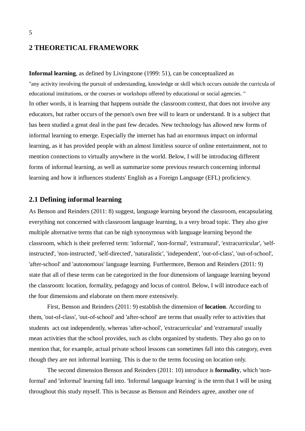### **2 THEORETICAL FRAMEWORK**

**Informal learning**, as defined by Livingstone (1999: 51), can be conceptualized as "any activity involving the pursuit of understanding, knowledge or skill which occurs outside the curricula of educational institutions, or the courses or workshops offered by educational or social agencies. " In other words, it is learning that happens outside the classroom context, that does not involve any educators, but rather occurs of the person's own free will to learn or understand. It is a subject that has been studied a great deal in the past few decades. New technology has allowed new forms of informal learning to emerge. Especially the internet has had an enormous impact on informal learning, as it has provided people with an almost limitless source of online entertainment, not to mention connections to virtually anywhere in the world. Below, I will be introducing different forms of informal learning, as well as summarize some previous research concerning informal learning and how it influences students' English as a Foreign Language (EFL) proficiency.

## **2.1 Defining informal learning**

As Benson and Reinders (2011: 8) suggest, language learning beyond the classroom, encapsulating everything not concerned with classroom language learning, is a very broad topic. They also give multiple alternative terms that can be nigh synonymous with language learning beyond the classroom, which is their preferred term: 'informal', 'non-formal', 'extramural', 'extracurricular', 'selfinstructed', 'non-instructed', 'self-directed', 'naturalistic', 'independent', 'out-of-class', 'out-of-school', 'after-school' and 'autonomous' language learning. Furthermore, Benson and Reinders (2011: 9) state that all of these terms can be categorized in the four dimensions of language learning beyond the classroom: location, formality, pedagogy and locus of control. Below, I will introduce each of the four dimensions and elaborate on them more extensively.

First, Benson and Reinders (2011: 9) establish the dimension of **location**. According to them, 'out-of-class', 'out-of-school' and 'after-school' are terms that usually refer to activities that students act out independently, whereas 'after-school', 'extracurricular' and 'extramural' usually mean activities that the school provides, such as clubs organized by students. They also go on to mention that, for example, actual private school lessons can sometimes fall into this category, even though they are not informal learning. This is due to the terms focusing on location only.

The second dimension Benson and Reinders (2011: 10) introduce is **formality**, which 'nonformal' and 'informal' learning fall into. 'Informal language learning' is the term that I will be using throughout this study myself. This is because as Benson and Reinders agree, another one of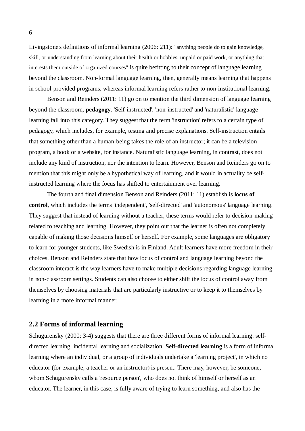Livingstone's definitions of informal learning (2006: 211): "anything people do to gain knowledge, skill, or understanding from learning about their health or hobbies, unpaid or paid work, or anything that interests them outside of organized courses" is quite befitting to their concept of language learning beyond the classroom. Non-formal language learning, then, generally means learning that happens in school-provided programs, whereas informal learning refers rather to non-institutional learning.

Benson and Reinders (2011: 11) go on to mention the third dimension of language learning beyond the classroom, **pedagogy**. 'Self-instructed', 'non-instructed' and 'naturalistic' language learning fall into this category. They suggest that the term 'instruction' refers to a certain type of pedagogy, which includes, for example, testing and precise explanations. Self-instruction entails that something other than a human-being takes the role of an instructor; it can be a television program, a book or a website, for instance. Naturalistic language learning, in contrast, does not include any kind of instruction, nor the intention to learn. However, Benson and Reinders go on to mention that this might only be a hypothetical way of learning, and it would in actuality be selfinstructed learning where the focus has shifted to entertainment over learning.

The fourth and final dimension Benson and Reinders (2011: 11) establish is **locus of control**, which includes the terms 'independent', 'self-directed' and 'autonomous' language learning. They suggest that instead of learning without a teacher, these terms would refer to decision-making related to teaching and learning. However, they point out that the learner is often not completely capable of making those decisions himself or herself. For example, some languages are obligatory to learn for younger students, like Swedish is in Finland. Adult learners have more freedom in their choices. Benson and Reinders state that how locus of control and language learning beyond the classroom interact is the way learners have to make multiple decisions regarding language learning in non-classroom settings. Students can also choose to either shift the locus of control away from themselves by choosing materials that are particularly instructive or to keep it to themselves by learning in a more informal manner.

#### **2.2 Forms of informal learning**

Schugurensky (2000: 3-4) suggests that there are three different forms of informal learning: selfdirected learning, incidental learning and socialization. **Self-directed learning** is a form of informal learning where an individual, or a group of individuals undertake a 'learning project', in which no educator (for example, a teacher or an instructor) is present. There may, however, be someone, whom Schugurensky calls a 'resource person', who does not think of himself or herself as an educator. The learner, in this case, is fully aware of trying to learn something, and also has the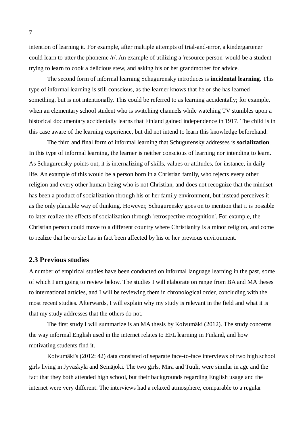intention of learning it. For example, after multiple attempts of trial-and-error, a kindergartener could learn to utter the phoneme /r/. An example of utilizing a 'resource person' would be a student trying to learn to cook a delicious stew, and asking his or her grandmother for advice.

The second form of informal learning Schugurensky introduces is **incidental learning**. This type of informal learning is still conscious, as the learner knows that he or she has learned something, but is not intentionally. This could be referred to as learning accidentally; for example, when an elementary school student who is switching channels while watching TV stumbles upon a historical documentary accidentally learns that Finland gained independence in 1917. The child is in this case aware of the learning experience, but did not intend to learn this knowledge beforehand.

The third and final form of informal learning that Schugurensky addresses is **socialization**. In this type of informal learning, the learner is neither conscious of learning nor intending to learn. As Schugurensky points out, it is internalizing of skills, values or attitudes, for instance, in daily life. An example of this would be a person born in a Christian family, who rejects every other religion and every other human being who is not Christian, and does not recognize that the mindset has been a product of socialization through his or her family environment, but instead perceives it as the only plausible way of thinking. However, Schugurensky goes on to mention that it is possible to later realize the effects of socialization through 'retrospective recognition'. For example, the Christian person could move to a different country where Christianity is a minor religion, and come to realize that he or she has in fact been affected by his or her previous environment.

#### **2.3 Previous studies**

A number of empirical studies have been conducted on informal language learning in the past, some of which I am going to review below. The studies I will elaborate on range from BA and MA theses to international articles, and I will be reviewing them in chronological order, concluding with the most recent studies. Afterwards, I will explain why my study is relevant in the field and what it is that my study addresses that the others do not.

The first study I will summarize is an MA thesis by Koivumäki (2012). The study concerns the way informal English used in the internet relates to EFL learning in Finland, and how motivating students find it.

Koivumäki's (2012: 42) data consisted of separate face-to-face interviews of two high-school girls living in Jyväskylä and Seinäjoki. The two girls, Mira and Tuuli, were similar in age and the fact that they both attended high school, but their backgrounds regarding English usage and the internet were very different. The interviews had a relaxed atmosphere, comparable to a regular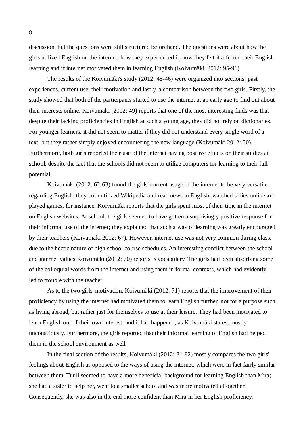discussion, but the questions were still structured beforehand. The questions were about how the girls utilized English on the internet, how they experienced it, how they felt it affected their English learning and if internet motivated them in learning English (Koivumäki, 2012: 95-96).

The results of the Koivumäki's study (2012: 45-46) were organized into sections: past experiences, current use, their motivation and lastly, a comparison between the two girls. Firstly, the study showed that both of the participants started to use the internet at an early age to find out about their interests online. Koivumäki (2012: 49) reports that one of the most interesting finds was that despite their lacking proficiencies in English at such a young age, they did not rely on dictionaries. For younger learners, it did not seem to matter if they did not understand every single word of a text, but they rather simply enjoyed encountering the new language (Koivumäki 2012: 50). Furthermore, both girls reported their use of the internet having positive effects on their studies at school, despite the fact that the schools did not seem to utilize computers for learning to their full potential.

Koivumäki (2012: 62-63) found the girls' current usage of the internet to be very versatile regarding English; they both utilized Wikipedia and read news in English, watched series online and played games, for instance. Koivumäki reports that the girls spent most of their time in the internet on English websites. At school, the girls seemed to have gotten a surprisingly positive response for their informal use of the internet; they explained that such a way of learning was greatly encouraged by their teachers (Koivumäki 2012: 67). However, internet use was not very common during class, due to the hectic nature of high school course schedules. An interesting conflict between the school and internet values Koivumäki (2012: 70) reports is vocabulary. The girls had been absorbing some of the colloquial words from the internet and using them in formal contexts, which had evidently led to trouble with the teacher.

As to the two girls' motivation, Koivumäki (2012: 71) reports that the improvement of their proficiency by using the internet had motivated them to learn English further, not for a purpose such as living abroad, but rather just for themselves to use at their leisure. They had been motivated to learn English out of their own interest, and it had happened, as Koivumäki states, mostly unconsciously. Furthermore, the girls reported that their informal learning of English had helped them in the school environment as well.

In the final section of the results, Koivumäki (2012: 81-82) mostly compares the two girls' feelings about English as opposed to the ways of using the internet, which were in fact fairly similar between them. Tuuli seemed to have a more beneficial background for learning English than Mira; she had a sister to help her, went to a smaller school and was more motivated altogether. Consequently, she was also in the end more confident than Mira in her English proficiency.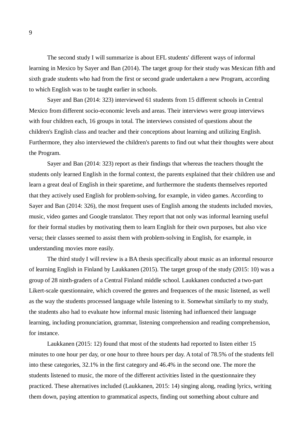The second study I will summarize is about EFL students' different ways of informal learning in Mexico by Sayer and Ban (2014). The target group for their study was Mexican fifth and sixth grade students who had from the first or second grade undertaken a new Program, according to which English was to be taught earlier in schools.

Sayer and Ban (2014: 323) interviewed 61 students from 15 different schools in Central Mexico from different socio-economic levels and areas. Their interviews were group interviews with four children each, 16 groups in total. The interviews consisted of questions about the children's English class and teacher and their conceptions about learning and utilizing English. Furthermore, they also interviewed the children's parents to find out what their thoughts were about the Program.

Sayer and Ban (2014: 323) report as their findings that whereas the teachers thought the students only learned English in the formal context, the parents explained that their children use and learn a great deal of English in their sparetime, and furthermore the students themselves reported that they actively used English for problem-solving, for example, in video games. According to Sayer and Ban (2014: 326), the most frequent uses of English among the students included movies, music, video games and Google translator. They report that not only was informal learning useful for their formal studies by motivating them to learn English for their own purposes, but also vice versa; their classes seemed to assist them with problem-solving in English, for example, in understanding movies more easily.

The third study I will review is a BA thesis specifically about music as an informal resource of learning English in Finland by Laukkanen (2015). The target group of the study (2015: 10) was a group of 28 ninth-graders of a Central Finland middle school. Laukkanen conducted a two-part Likert-scale questionnaire, which covered the genres and frequences of the music listened, as well as the way the students processed language while listening to it. Somewhat similarly to my study, the students also had to evaluate how informal music listening had influenced their language learning, including pronunciation, grammar, listening comprehension and reading comprehension, for instance.

Laukkanen (2015: 12) found that most of the students had reported to listen either 15 minutes to one hour per day, or one hour to three hours per day. A total of 78.5% of the students fell into these categories, 32.1% in the first category and 46.4% in the second one. The more the students listened to music, the more of the different activities listed in the questionnaire they practiced. These alternatives included (Laukkanen, 2015: 14) singing along, reading lyrics, writing them down, paying attention to grammatical aspects, finding out something about culture and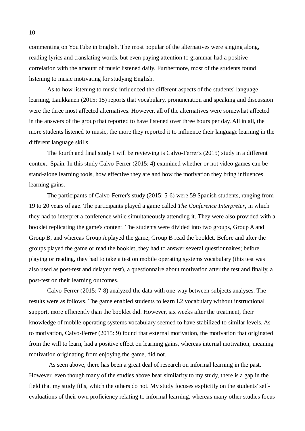commenting on YouTube in English. The most popular of the alternatives were singing along, reading lyrics and translating words, but even paying attention to grammar had a positive correlation with the amount of music listened daily. Furthermore, most of the students found listening to music motivating for studying English.

As to how listening to music influenced the different aspects of the students' language learning, Laukkanen (2015: 15) reports that vocabulary, pronunciation and speaking and discussion were the three most affected alternatives. However, all of the alternatives were somewhat affected in the answers of the group that reported to have listened over three hours per day. All in all, the more students listened to music, the more they reported it to influence their language learning in the different language skills.

The fourth and final study I will be reviewing is Calvo-Ferrer's (2015) study in a different context: Spain. In this study Calvo-Ferrer (2015: 4) examined whether or not video games can be stand-alone learning tools, how effective they are and how the motivation they bring influences learning gains.

The participants of Calvo-Ferrer's study (2015: 5-6) were 59 Spanish students, ranging from 19 to 20 years of age. The participants played a game called *The Conference Interpreter*, in which they had to interpret a conference while simultaneously attending it. They were also provided with a booklet replicating the game's content. The students were divided into two groups, Group A and Group B, and whereas Group A played the game, Group B read the booklet. Before and after the groups played the game or read the booklet, they had to answer several questionnaires; before playing or reading, they had to take a test on mobile operating systems vocabulary (this test was also used as post-test and delayed test), a questionnaire about motivation after the test and finally, a post-test on their learning outcomes.

Calvo-Ferrer (2015: 7-8) analyzed the data with one-way between-subjects analyses. The results were as follows. The game enabled students to learn L2 vocabulary without instructional support, more efficiently than the booklet did. However, six weeks after the treatment, their knowledge of mobile operating systems vocabulary seemed to have stabilized to similar levels. As to motivation, Calvo-Ferrer (2015: 9) found that external motivation, the motivation that originated from the will to learn, had a positive effect on learning gains, whereas internal motivation, meaning motivation originating from enjoying the game, did not.

 As seen above, there has been a great deal of research on informal learning in the past. However, even though many of the studies above bear similarity to my study, there is a gap in the field that my study fills, which the others do not. My study focuses explicitly on the students' selfevaluations of their own proficiency relating to informal learning, whereas many other studies focus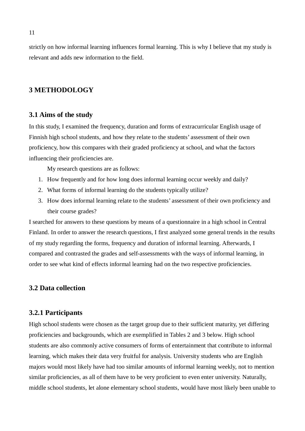strictly on how informal learning influences formal learning. This is why I believe that my study is relevant and adds new information to the field.

## **3 METHODOLOGY**

#### **3.1 Aims of the study**

In this study, I examined the frequency, duration and forms of extracurricular English usage of Finnish high school students, and how they relate to the students' assessment of their own proficiency, how this compares with their graded proficiency at school, and what the factors influencing their proficiencies are.

My research questions are as follows:

- 1. How frequently and for how long does informal learning occur weekly and daily?
- 2. What forms of informal learning do the students typically utilize?
- 3. How does informal learning relate to the students' assessment of their own proficiency and their course grades?

I searched for answers to these questions by means of a questionnaire in a high school in Central Finland. In order to answer the research questions, I first analyzed some general trends in the results of my study regarding the forms, frequency and duration of informal learning. Afterwards, I compared and contrasted the grades and self-assessments with the ways of informal learning, in order to see what kind of effects informal learning had on the two respective proficiencies.

#### **3.2 Data collection**

#### **3.2.1 Participants**

High school students were chosen as the target group due to their sufficient maturity, yet differing proficiencies and backgrounds, which are exemplified in Tables 2 and 3 below. High school students are also commonly active consumers of forms of entertainment that contribute to informal learning, which makes their data very fruitful for analysis. University students who are English majors would most likely have had too similar amounts of informal learning weekly, not to mention similar proficiencies, as all of them have to be very proficient to even enter university. Naturally, middle school students, let alone elementary school students, would have most likely been unable to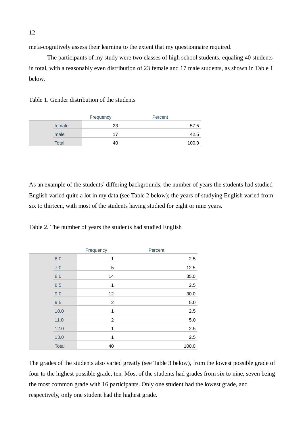meta-cognitively assess their learning to the extent that my questionnaire required.

The participants of my study were two classes of high school students, equaling 40 students in total, with a reasonably even distribution of 23 female and 17 male students, as shown in Table 1 below.

Table 1. Gender distribution of the students

|        | Frequency | Percent |
|--------|-----------|---------|
| female | 23        | 57.5    |
| male   | 17        | 42.5    |
| Total  | 40        | 100.0   |

As an example of the students' differing backgrounds, the number of years the students had studied English varied quite a lot in my data (see Table 2 below); the years of studying English varied from six to thirteen, with most of the students having studied for eight or nine years.

Table 2. The number of years the students had studied English

|         |              | Frequency        | Percent |
|---------|--------------|------------------|---------|
| $6.0\,$ |              | $\mathbf 1$      | 2.5     |
| 7.0     |              | 5                | 12.5    |
| 8.0     |              | 14               | 35.0    |
| 8.5     |              | 1                | 2.5     |
| 9.0     |              | 12               | 30.0    |
| 9.5     |              | $\boldsymbol{2}$ | $5.0$   |
|         | 10.0         | 1                | 2.5     |
| 11.0    |              | $\overline{c}$   | 5.0     |
|         | 12.0         | 1                | 2.5     |
|         | 13.0         | 1                | 2.5     |
|         | <b>Total</b> | 40               | 100.0   |

The grades of the students also varied greatly (see Table 3 below), from the lowest possible grade of four to the highest possible grade, ten. Most of the students had grades from six to nine, seven being the most common grade with 16 participants. Only one student had the lowest grade, and respectively, only one student had the highest grade.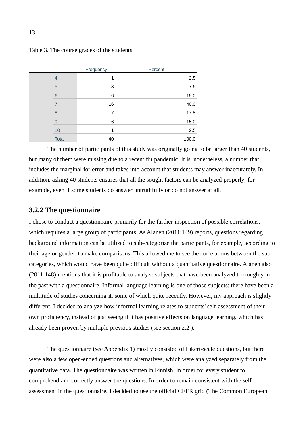|    |              | Frequency | Percent |       |
|----|--------------|-----------|---------|-------|
| 4  |              |           |         | 2.5   |
| 5  |              | 3         |         | 7.5   |
| 6  |              | 6         |         | 15.0  |
|    |              | 16        |         | 40.0  |
| 8  |              | 7         |         | 17.5  |
| 9  |              | 6         |         | 15.0  |
| 10 |              |           |         | 2.5   |
|    | <b>Total</b> | 40        |         | 100.0 |

Table 3. The course grades of the students

The number of participants of this study was originally going to be larger than 40 students, but many of them were missing due to a recent flu pandemic. It is, nonetheless, a number that includes the marginal for error and takes into account that students may answer inaccurately. In addition, asking 40 students ensures that all the sought factors can be analyzed properly; for example, even if some students do answer untruthfully or do not answer at all.

#### **3.2.2 The questionnaire**

I chose to conduct a questionnaire primarily for the further inspection of possible correlations, which requires a large group of participants. As Alanen (2011:149) reports, questions regarding background information can be utilized to sub-categorize the participants, for example, according to their age or gender, to make comparisons. This allowed me to see the correlations between the subcategories, which would have been quite difficult without a quantitative questionnaire. Alanen also (2011:148) mentions that it is profitable to analyze subjects that have been analyzed thoroughly in the past with a questionnaire. Informal language learning is one of those subjects; there have been a multitude of studies concerning it, some of which quite recently. However, my approach is slightly different. I decided to analyze how informal learning relates to students' self-assessment of their own proficiency, instead of just seeing if it has positive effects on language learning, which has already been proven by multiple previous studies (see section 2.2 ).

The questionnaire (see Appendix 1) mostly consisted of Likert-scale questions, but there were also a few open-ended questions and alternatives, which were analyzed separately from the quantitative data. The questionnaire was written in Finnish, in order for every student to comprehend and correctly answer the questions. In order to remain consistent with the selfassessment in the questionnaire, I decided to use the official CEFR grid (The Common European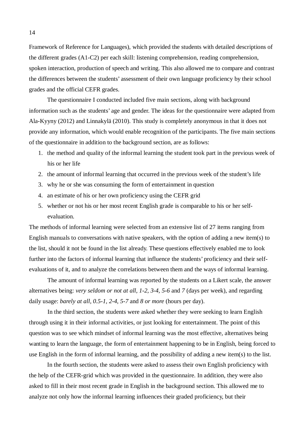Framework of Reference for Languages), which provided the students with detailed descriptions of the different grades (A1-C2) per each skill: listening comprehension, reading comprehension, spoken interaction, production of speech and writing. This also allowed me to compare and contrast the differences between the students' assessment of their own language proficiency by their school grades and the official CEFR grades.

The questionnaire I conducted included five main sections, along with background information such as the students' age and gender. The ideas for the questionnaire were adapted from Ala-Kyyny (2012) and Linnakylä (2010). This study is completely anonymous in that it does not provide any information, which would enable recognition of the participants. The five main sections of the questionnaire in addition to the background section, are as follows:

- 1. the method and quality of the informal learning the student took part in the previous week of his or her life
- 2. the amount of informal learning that occurred in the previous week of the student's life
- 3. why he or she was consuming the form of entertainment in question
- 4. an estimate of his or her own proficiency using the CEFR grid
- 5. whether or not his or her most recent English grade is comparable to his or her selfevaluation.

The methods of informal learning were selected from an extensive list of 27 items ranging from English manuals to conversations with native speakers, with the option of adding a new item(s) to the list, should it not be found in the list already. These questions effectively enabled me to look further into the factors of informal learning that influence the students' proficiency and their selfevaluations of it, and to analyze the correlations between them and the ways of informal learning.

The amount of informal learning was reported by the students on a Likert scale, the answer alternatives being: *very seldom or not at all, 1-2, 3-4, 5-6* and *7* (days per week), and regarding daily usage: *barely at all, 0.5-1, 2-4, 5-7* and *8 or more* (hours per day).

In the third section, the students were asked whether they were seeking to learn English through using it in their informal activities, or just looking for entertainment. The point of this question was to see which mindset of informal learning was the most effective, alternatives being wanting to learn the language, the form of entertainment happening to be in English, being forced to use English in the form of informal learning, and the possibility of adding a new item(s) to the list.

In the fourth section, the students were asked to assess their own English proficiency with the help of the CEFR-grid which was provided in the questionnaire. In addition, they were also asked to fill in their most recent grade in English in the background section. This allowed me to analyze not only how the informal learning influences their graded proficiency, but their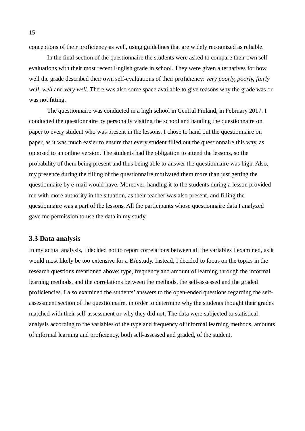conceptions of their proficiency as well, using guidelines that are widely recognized as reliable.

In the final section of the questionnaire the students were asked to compare their own selfevaluations with their most recent English grade in school. They were given alternatives for how well the grade described their own self-evaluations of their proficiency: *very poorly, poorly, fairly well, well* and *very well*. There was also some space available to give reasons why the grade was or was not fitting.

The questionnaire was conducted in a high school in Central Finland, in February 2017. I conducted the questionnaire by personally visiting the school and handing the questionnaire on paper to every student who was present in the lessons. I chose to hand out the questionnaire on paper, as it was much easier to ensure that every student filled out the questionnaire this way, as opposed to an online version. The students had the obligation to attend the lessons, so the probability of them being present and thus being able to answer the questionnaire was high. Also, my presence during the filling of the questionnaire motivated them more than just getting the questionnaire by e-mail would have. Moreover, handing it to the students during a lesson provided me with more authority in the situation, as their teacher was also present, and filling the questionnaire was a part of the lessons. All the participants whose questionnaire data I analyzed gave me permission to use the data in my study.

#### **3.3 Data analysis**

In my actual analysis, I decided not to report correlations between all the variables I examined, as it would most likely be too extensive for a BA study. Instead, I decided to focus on the topics in the research questions mentioned above: type, frequency and amount of learning through the informal learning methods, and the correlations between the methods, the self-assessed and the graded proficiencies. I also examined the students' answers to the open-ended questions regarding the selfassessment section of the questionnaire, in order to determine why the students thought their grades matched with their self-assessment or why they did not. The data were subjected to statistical analysis according to the variables of the type and frequency of informal learning methods, amounts of informal learning and proficiency, both self-assessed and graded, of the student.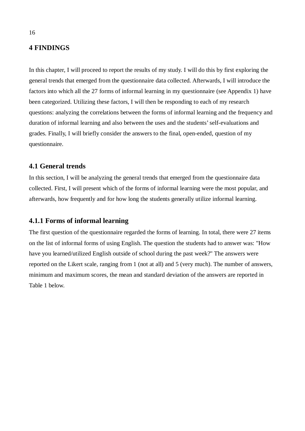## **4 FINDINGS**

In this chapter, I will proceed to report the results of my study. I will do this by first exploring the general trends that emerged from the questionnaire data collected. Afterwards, I will introduce the factors into which all the 27 forms of informal learning in my questionnaire (see Appendix 1) have been categorized. Utilizing these factors, I will then be responding to each of my research questions: analyzing the correlations between the forms of informal learning and the frequency and duration of informal learning and also between the uses and the students' self-evaluations and grades. Finally, I will briefly consider the answers to the final, open-ended, question of my questionnaire.

#### **4.1 General trends**

In this section, I will be analyzing the general trends that emerged from the questionnaire data collected. First, I will present which of the forms of informal learning were the most popular, and afterwards, how frequently and for how long the students generally utilize informal learning.

## **4.1.1 Forms of informal learning**

The first question of the questionnaire regarded the forms of learning. In total, there were 27 items on the list of informal forms of using English. The question the students had to answer was: "How have you learned/utilized English outside of school during the past week?" The answers were reported on the Likert scale, ranging from 1 (not at all) and 5 (very much). The number of answers, minimum and maximum scores, the mean and standard deviation of the answers are reported in Table 1 below.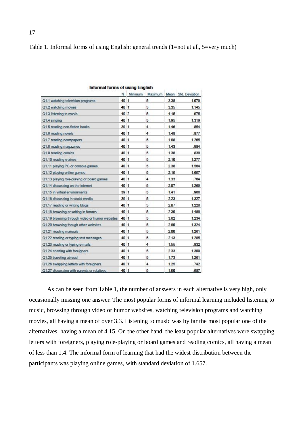Table 1. Informal forms of using English: general trends (1=not at all, 5=very much)

|                                                | N.   | Minimum |   |      | Maximum Mean Std. Deviation |
|------------------------------------------------|------|---------|---|------|-----------------------------|
| Q1.1 watching television programs              | 40 1 |         | 5 | 3.38 | 1.079                       |
| Q1.2 watching movies                           | 40 1 |         | 5 | 3.35 | 1.145                       |
| Q1.3 listening to music                        | 40 2 |         | 5 | 4.15 | .975                        |
| Q1.4 singing                                   | 40 1 |         | 5 | 1.95 | 1,319                       |
| Q1.5 reading non-fiction books                 | 39 1 |         | 4 | 1.46 | .854                        |
| Q1.6 reading novels                            | 40 1 |         | 4 | 1.48 | .877                        |
| Q1.7 reading newspapers                        | 40 1 |         | 5 | 1,88 | 1.265                       |
| Q1.8 reading magazines                         | 40 1 |         | 5 | 1.43 | .984                        |
| Q1.9 reading comics                            | 40 1 |         | 5 | 1.38 | .838                        |
| Q1.10 reading e-zines                          | 40 1 |         | 5 | 2.10 | 1.277                       |
| Q1.11 playing PC or console games              | 40 1 |         | 5 | 2.38 | 1.564                       |
| Q1.12 playing online games                     | 40 1 |         | 5 | 2.15 | 1.657                       |
| Q1.13 playing role-playing or board games      | 40 1 |         | 4 | 1.33 | .764                        |
| Q1.14 discussing on the internet               | 40 1 |         | 5 | 2.07 | 1.269                       |
| Q1.15 in virtual environments                  | 39 1 |         | 5 | 1.41 | .966                        |
| Q1.16 discussing in social media               | 39 1 |         | 5 | 2.23 | 1.327                       |
| Q1.17 reading or writing blogs                 | 40 1 |         | 5 | 2.07 | 1.228                       |
| Q1.18 browsing or writing in forums            | 40 1 |         | 5 | 2.30 | 1,488                       |
| Q1.19 browsing through video or humor websites | 40 1 |         | 5 | 3.62 | 1.234                       |
| Q1.20 browsing though other websites           | 40 1 |         | 5 | 2.80 | 1.324                       |
| Q1.21 reading manuals                          | 40 1 |         | 5 | 2.00 | 1.261                       |
| Q1.22 reading or typing text messages          | 40 1 |         | 5 | 2.13 | 1.285                       |
| Q1.23 reading or typing e-mails                | 40 1 |         | 4 | 1.55 | .932                        |
| Q1.24 chatting with foreigners                 | 40 1 |         | 5 | 2.33 | 1.309                       |
| Q1.25 traveling abroad                         | 40 1 |         | 5 | 1.73 | 1.261                       |
| Q1.26 swapping letters with foreigners         | 40 1 |         | 4 | 1.25 | .742                        |
| Q1.27 discussing with parents or relatives     | 40 1 |         | 5 | 1.50 | .987                        |

Informal forms of using English

As can be seen from Table 1, the number of answers in each alternative is very high, only occasionally missing one answer. The most popular forms of informal learning included listening to music, browsing through video or humor websites, watching television programs and watching movies, all having a mean of over 3.3. Listening to music was by far the most popular one of the alternatives, having a mean of 4.15. On the other hand, the least popular alternatives were swapping letters with foreigners, playing role-playing or board games and reading comics, all having a mean of less than 1.4. The informal form of learning that had the widest distribution between the participants was playing online games, with standard deviation of 1.657.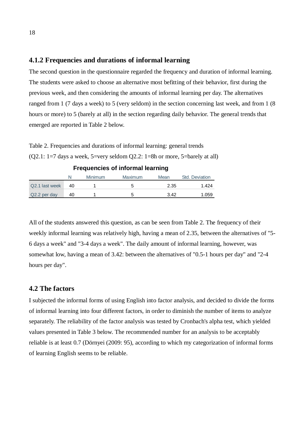#### **4.1.2 Frequencies and durations of informal learning**

The second question in the questionnaire regarded the frequency and duration of informal learning. The students were asked to choose an alternative most befitting of their behavior, first during the previous week, and then considering the amounts of informal learning per day. The alternatives ranged from 1 (7 days a week) to 5 (very seldom) in the section concerning last week, and from 1 (8 hours or more) to 5 (barely at all) in the section regarding daily behavior. The general trends that emerged are reported in Table 2 below.

Table 2. Frequencies and durations of informal learning: general trends ( $Q2.1$ : 1=7 days a week,  $5=$ very seldom  $Q2.2$ : 1=8h or more,  $5=$ barely at all)

| <u>r requenoico or innormaricammig</u> |    |         |         |      |                |  |
|----------------------------------------|----|---------|---------|------|----------------|--|
|                                        |    | Minimum | Maximum | Mean | Std. Deviation |  |
| Q2.1 last week                         | 40 |         |         | 2.35 | 1.424          |  |
| Q2.2 per day                           | 40 |         | ∽       | 3.42 | 1.059          |  |

| <b>Frequencies of informal learning</b> |  |  |
|-----------------------------------------|--|--|
|                                         |  |  |

All of the students answered this question, as can be seen from Table 2. The frequency of their weekly informal learning was relatively high, having a mean of 2.35, between the alternatives of "5- 6 days a week" and "3-4 days a week". The daily amount of informal learning, however, was somewhat low, having a mean of 3.42: between the alternatives of "0.5-1 hours per day" and "2-4 hours per day".

# **4.2 The factors**

I subjected the informal forms of using English into factor analysis, and decided to divide the forms of informal learning into four different factors, in order to diminish the number of items to analyze separately. The reliability of the factor analysis was tested by Cronbach's alpha test, which yielded values presented in Table 3 below. The recommended number for an analysis to be acceptably reliable is at least 0.7 (Dörnyei (2009: 95), according to which my categorization of informal forms of learning English seems to be reliable.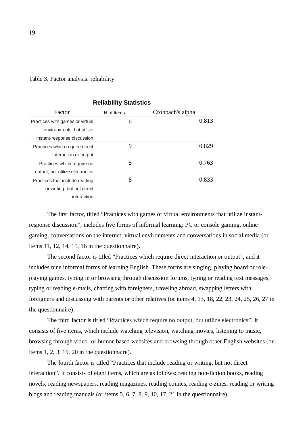| Factor                          | N of Items | Cronbach's alpha |
|---------------------------------|------------|------------------|
| Practices with games or virtual | 5          | 0.813            |
| environments that utilize       |            |                  |
| instant-response discussion     |            |                  |
| Practices which require direct  | 9          | 0.829            |
| interaction or output           |            |                  |
| Practices which require no      | 5          | 0.763            |
| output, but utilize electronics |            |                  |
| Practices that include reading  | 8          | 0.833            |
| or writing, but not direct      |            |                  |
| interaction                     |            |                  |
|                                 |            |                  |

**Reliability Statistics**

Table 3. Factor analysis: reliability

The first factor, titled "Practices with games or virtual environments that utilize instantresponse discussion", includes five forms of informal learning: PC or console gaming, online gaming, conversations on the internet, virtual environments and conversations in social media (or items 11, 12, 14, 15, 16 in the questionnaire).

The second factor is titled "Practices which require direct interaction or output", and it includes nine informal forms of learning English. These forms are singing, playing board or roleplaying games, typing in or browsing through discussion forums, typing or reading text messages, typing or reading e-mails, chatting with foreigners, traveling abroad, swapping letters with foreigners and discussing with parents or other relatives (or items 4, 13, 18, 22, 23, 24, 25, 26, 27 in the questionnaire).

The third factor is titled "Practices which require no output, but utilize electronics". It consists of five items, which include watching television, watching movies, listening to music, browsing through video- or humor-based websites and browsing through other English websites (or items 1, 2, 3, 19, 20 in the questionnaire).

The fourth factor is titled "Practices that include reading or writing, but not direct interaction". It consists of eight items, which are as follows: reading non-fiction books, reading novels, reading newspapers, reading magazines, reading comics, reading e-zines, reading or writing blogs and reading manuals (or items 5, 6, 7, 8, 9, 10, 17, 21 in the questionnaire).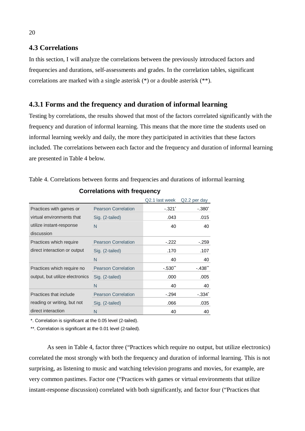## **4.3 Correlations**

In this section, I will analyze the correlations between the previously introduced factors and frequencies and durations, self-assessments and grades. In the correlation tables, significant correlations are marked with a single asterisk  $(*)$  or a double asterisk  $(**)$ .

# **4.3.1 Forms and the frequency and duration of informal learning**

Testing by correlations, the results showed that most of the factors correlated significantly with the frequency and duration of informal learning. This means that the more time the students used on informal learning weekly and daily, the more they participated in activities that these factors included. The correlations between each factor and the frequency and duration of informal learning are presented in Table 4 below.

Table 4. Correlations between forms and frequencies and durations of informal learning

|                                        |                            | Q2.1 last week | Q2.2 per day          |
|----------------------------------------|----------------------------|----------------|-----------------------|
| Practices with games or                | <b>Pearson Correlation</b> | $-.321$        | $-.380*$              |
| virtual environments that              | Sig. (2-tailed)            | .043           | .015                  |
| utilize instant-response<br>discussion | N                          | 40             | 40                    |
| Practices which require                | <b>Pearson Correlation</b> | $-.222$        | $-.259$               |
| direct interaction or output           | Sig. (2-tailed)            | .170           | .107                  |
|                                        | N                          | 40             | 40                    |
| Practices which require no             | <b>Pearson Correlation</b> | $-.530"$       | $-.438$ <sup>**</sup> |
| output, but utilize electronics        | Sig. (2-tailed)            | .000           | .005                  |
|                                        | N                          | 40             | 40                    |
| Practices that include                 | <b>Pearson Correlation</b> | $-.294$        | $-.334*$              |
| reading or writing, but not            | Sig. (2-tailed)            | .066           | .035                  |
| direct interaction                     | N                          | 40             | 40                    |

#### **Correlations with frequency**

\*. Correlation is significant at the 0.05 level (2-tailed).

\*\*. Correlation is significant at the 0.01 level (2-tailed).

As seen in Table 4, factor three ("Practices which require no output, but utilize electronics) correlated the most strongly with both the frequency and duration of informal learning. This is not surprising, as listening to music and watching television programs and movies, for example, are very common pastimes. Factor one ("Practices with games or virtual environments that utilize instant-response discussion) correlated with both significantly, and factor four ("Practices that

#### 20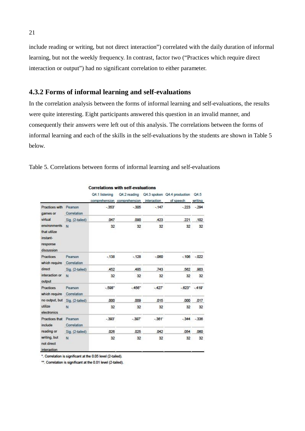include reading or writing, but not direct interaction") correlated with the daily duration of informal learning, but not the weekly frequency. In contrast, factor two ("Practices which require direct interaction or output") had no significant correlation to either parameter.

### **4.3.2 Forms of informal learning and self-evaluations**

In the correlation analysis between the forms of informal learning and self-evaluations, the results were quite interesting. Eight participants answered this question in an invalid manner, and consequently their answers were left out of this analysis. The correlations between the forms of informal learning and each of the skills in the self-evaluations by the students are shown in Table 5 below.

|                                                                                              |                                |         |        |                 | Q4.1 listening Q4.2 reading Q4.3 spoken Q4.4 production Q4.5<br>comprehension comprehension interaction of speech writing |                       |
|----------------------------------------------------------------------------------------------|--------------------------------|---------|--------|-----------------|---------------------------------------------------------------------------------------------------------------------------|-----------------------|
| Practices with Pearson<br>games or Correlation                                               |                                | $-353'$ |        | $-305 -147$     | $-223 - 294$                                                                                                              |                       |
|                                                                                              | virtual Sig. (2-tailed)        | .047    | .090   | 423             | .221                                                                                                                      | .102                  |
| environments N<br>that utilize<br>instant-<br>response<br>discussion                         |                                | 32      | 32     | 32              |                                                                                                                           | 32 32                 |
| Practices Pearson<br>which require Correlation                                               |                                | $-138$  | $-128$ | $-060$          |                                                                                                                           | $-106 - 022$          |
|                                                                                              | direct Sig. (2-tailed)         | .452    | .485   | .743            |                                                                                                                           | .562 .903             |
| interaction or N<br>output                                                                   |                                | 32      | 32     | 32              |                                                                                                                           | 32 32                 |
| Practices Pearson<br>which require Correlation                                               |                                | $-598"$ | $-456$ | $-427$          |                                                                                                                           | $-0.623$ $-0.419$     |
|                                                                                              | no output, but Sig. (2-tailed) | ,000    | 009    | .015            |                                                                                                                           | .000017               |
| utilize<br>N<br>electronics                                                                  |                                | 32      | 32     | 32              |                                                                                                                           | 32 32                 |
| Practices that Pearson<br>include Correlation<br>writing, but N<br>not direct<br>interaction |                                | $-393'$ | $-397$ | $-361'$         |                                                                                                                           | $-344 - 336$          |
|                                                                                              | reading or Sig. (2-tailed)     | .026    | .025   | .042            | .054                                                                                                                      | .060                  |
|                                                                                              |                                | 32      | 32     | 32 <sup>2</sup> |                                                                                                                           | 32 <sup>2</sup><br>32 |

Table 5. Correlations between forms of informal learning and self-evaluations

\*. Correlation is significant at the 0.05 level (2-tailed).

\*\*. Correlation is significant at the 0.01 level (2-tailed).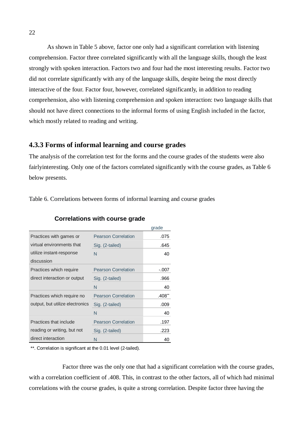As shown in Table 5 above, factor one only had a significant correlation with listening comprehension. Factor three correlated significantly with all the language skills, though the least strongly with spoken interaction. Factors two and four had the most interesting results. Factor two did not correlate significantly with any of the language skills, despite being the most directly interactive of the four. Factor four, however, correlated significantly, in addition to reading comprehension, also with listening comprehension and spoken interaction: two language skills that should not have direct connections to the informal forms of using English included in the factor, which mostly related to reading and writing.

#### **4.3.3 Forms of informal learning and course grades**

The analysis of the correlation test for the forms and the course grades of the students were also fairlyinteresting. Only one of the factors correlated significantly with the course grades, as Table 6 below presents.

Table 6. Correlations between forms of informal learning and course grades

|                                 |                            | grade   |
|---------------------------------|----------------------------|---------|
| Practices with games or         | <b>Pearson Correlation</b> | .075    |
| virtual environments that       | Sig. (2-tailed)            | .645    |
| utilize instant-response        | N                          | 40      |
| discussion                      |                            |         |
| Practices which require         | <b>Pearson Correlation</b> | $-.007$ |
| direct interaction or output    | Sig. (2-tailed)            | .966    |
|                                 | N                          | 40      |
| Practices which require no      | <b>Pearson Correlation</b> | .408    |
| output, but utilize electronics | Sig. (2-tailed)            | .009    |
|                                 | N                          | 40      |
| Practices that include          | <b>Pearson Correlation</b> | .197    |
| reading or writing, but not     | Sig. (2-tailed)            | .223    |
| direct interaction              | N                          | 40      |

#### **Correlations with course grade**

\*\*. Correlation is significant at the 0.01 level (2-tailed).

Factor three was the only one that had a significant correlation with the course grades, with a correlation coefficient of .408. This, in contrast to the other factors, all of which had minimal correlations with the course grades, is quite a strong correlation. Despite factor three having the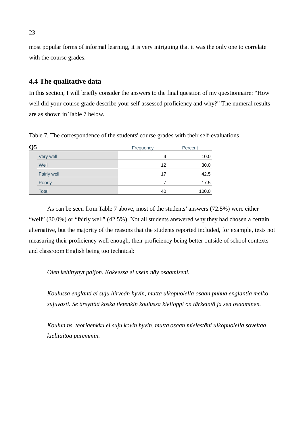most popular forms of informal learning, it is very intriguing that it was the only one to correlate with the course grades.

## **4.4 The qualitative data**

In this section, I will briefly consider the answers to the final question of my questionnaire: "How well did your course grade describe your self-assessed proficiency and why?" The numeral results are as shown in Table 7 below.

| Q <sub>5</sub> | Frequency | Percent |
|----------------|-----------|---------|
| Very well      | 4         | 10.0    |
| Well           | 12        | 30.0    |
| Fairly well    | 17        | 42.5    |
| Poorly         |           | 17.5    |
| <b>Total</b>   | 40        | 100.0   |

Table 7. The correspondence of the students' course grades with their self-evaluations

As can be seen from Table 7 above, most of the students' answers (72.5%) were either "well" (30.0%) or "fairly well" (42.5%). Not all students answered why they had chosen a certain alternative, but the majority of the reasons that the students reported included, for example, tests not measuring their proficiency well enough, their proficiency being better outside of school contexts and classroom English being too technical:

#### *Olen kehittynyt paljon. Kokeessa ei usein näy osaamiseni.*

*Koulussa englanti ei suju hirveän hyvin, mutta ulkopuolella osaan puhua englantia melko sujuvasti. Se ärsyttää koska tietenkin koulussa kielioppi on tärkeintä ja sen osaaminen.*

*Koulun ns. teoriaenkku ei suju kovin hyvin, mutta osaan mielestäni ulkopuolella soveltaa kielitaitoa paremmin.*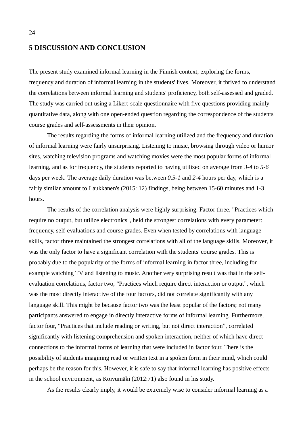#### **5 DISCUSSION AND CONCLUSION**

The present study examined informal learning in the Finnish context, exploring the forms, frequency and duration of informal learning in the students' lives. Moreover, it thrived to understand the correlations between informal learning and students' proficiency, both self-assessed and graded. The study was carried out using a Likert-scale questionnaire with five questions providing mainly quantitative data, along with one open-ended question regarding the correspondence of the students' course grades and self-assessments in their opinion.

The results regarding the forms of informal learning utilized and the frequency and duration of informal learning were fairly unsurprising. Listening to music, browsing through video or humor sites, watching television programs and watching movies were the most popular forms of informal learning, and as for frequency, the students reported to having utilized on average from *3-4* to *5-6* days per week. The average daily duration was between *0.5-1* and *2-4* hours per day, which is a fairly similar amount to Laukkanen's (2015: 12) findings, being between 15-60 minutes and 1-3 hours.

The results of the correlation analysis were highly surprising. Factor three, "Practices which require no output, but utilize electronics", held the strongest correlations with every parameter: frequency, self-evaluations and course grades. Even when tested by correlations with language skills, factor three maintained the strongest correlations with all of the language skills. Moreover, it was the only factor to have a significant correlation with the students' course grades. This is probably due to the popularity of the forms of informal learning in factor three, including for example watching TV and listening to music. Another very surprising result was that in the selfevaluation correlations, factor two, "Practices which require direct interaction or output", which was the most directly interactive of the four factors, did not correlate significantly with any language skill. This might be because factor two was the least popular of the factors; not many participants answered to engage in directly interactive forms of informal learning. Furthermore, factor four, "Practices that include reading or writing, but not direct interaction", correlated significantly with listening comprehension and spoken interaction, neither of which have direct connections to the informal forms of learning that were included in factor four. There is the possibility of students imagining read or written text in a spoken form in their mind, which could perhaps be the reason for this. However, it is safe to say that informal learning has positive effects in the school environment, as Koivumäki (2012:71) also found in his study.

As the results clearly imply, it would be extremely wise to consider informal learning as a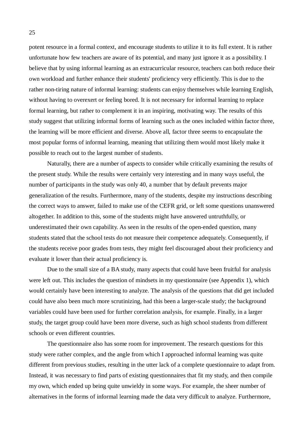potent resource in a formal context, and encourage students to utilize it to its full extent. It is rather unfortunate how few teachers are aware of its potential, and many just ignore it as a possibility. I believe that by using informal learning as an extracurricular resource, teachers can both reduce their own workload and further enhance their students' proficiency very efficiently. This is due to the rather non-tiring nature of informal learning: students can enjoy themselves while learning English, without having to overexert or feeling bored. It is not necessary for informal learning to replace formal learning, but rather to complement it in an inspiring, motivating way. The results of this study suggest that utilizing informal forms of learning such as the ones included within factor three, the learning will be more efficient and diverse. Above all, factor three seems to encapsulate the most popular forms of informal learning, meaning that utilizing them would most likely make it possible to reach out to the largest number of students.

Naturally, there are a number of aspects to consider while critically examining the results of the present study. While the results were certainly very interesting and in many ways useful, the number of participants in the study was only 40, a number that by default prevents major generalization of the results. Furthermore, many of the students, despite my instructions describing the correct ways to answer, failed to make use of the CEFR grid, or left some questions unanswered altogether. In addition to this, some of the students might have answered untruthfully, or underestimated their own capability. As seen in the results of the open-ended question, many students stated that the school tests do not measure their competence adequately. Consequently, if the students receive poor grades from tests, they might feel discouraged about their proficiency and evaluate it lower than their actual proficiency is.

Due to the small size of a BA study, many aspects that could have been fruitful for analysis were left out. This includes the question of mindsets in my questionnaire (see Appendix 1), which would certainly have been interesting to analyze. The analysis of the questions that did get included could have also been much more scrutinizing, had this been a larger-scale study; the background variables could have been used for further correlation analysis, for example. Finally, in a larger study, the target group could have been more diverse, such as high school students from different schools or even different countries.

The questionnaire also has some room for improvement. The research questions for this study were rather complex, and the angle from which I approached informal learning was quite different from previous studies, resulting in the utter lack of a complete questionnaire to adapt from. Instead, it was necessary to find parts of existing questionnaires that fit my study, and then compile my own, which ended up being quite unwieldy in some ways. For example, the sheer number of alternatives in the forms of informal learning made the data very difficult to analyze. Furthermore,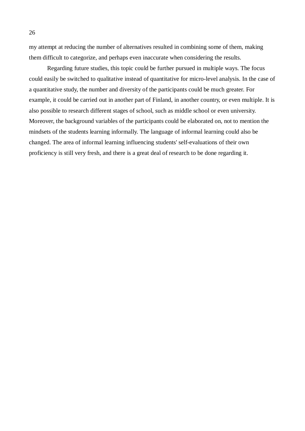my attempt at reducing the number of alternatives resulted in combining some of them, making them difficult to categorize, and perhaps even inaccurate when considering the results.

Regarding future studies, this topic could be further pursued in multiple ways. The focus could easily be switched to qualitative instead of quantitative for micro-level analysis. In the case of a quantitative study, the number and diversity of the participants could be much greater. For example, it could be carried out in another part of Finland, in another country, or even multiple. It is also possible to research different stages of school, such as middle school or even university. Moreover, the background variables of the participants could be elaborated on, not to mention the mindsets of the students learning informally. The language of informal learning could also be changed. The area of informal learning influencing students' self-evaluations of their own proficiency is still very fresh, and there is a great deal of research to be done regarding it.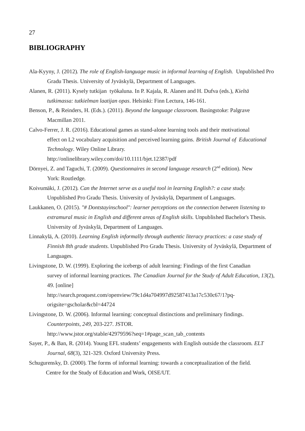# **BIBLIOGRAPHY**

- Ala-Kyyny, J. (2012). *The role of English-language music in informal learning of English.* Unpublished Pro Gradu Thesis. University of Jyväskylä, Department of Languages.
- Alanen, R. (2011). Kysely tutkijan työkaluna. In P. Kajala, R. Alanen and H. Dufva (eds.), *Kieltä tutkimassa: tutkielman laatijan opas*. Helsinki: Finn Lectura, 146-161.
- Benson, P., & Reinders, H. (Eds.). (2011). *Beyond the language classroom*. Basingstoke: Palgrave Macmillan 2011.
- Calvo-Ferrer, J. R. (2016). Educational games as stand-alone learning tools and their motivational effect on L2 vocabulary acquisition and perceived learning gains. *British Journal of Educational Technology*. Wiley Online Library.

http://onlinelibrary.wiley.com/doi/10.1111/bjet.12387/pdf

- Dörnyei, Z. and Taguchi, T. (2009). *Questionnaires in second language research* (2<sup>nd</sup> edition). New York: Routledge.
- Koivumäki, J. (2012). *Can the Internet serve as a useful tool in learning English?: a case study.* Unpublished Pro Gradu Thesis. University of Jyväskylä, Department of Languages.
- Laukkanen, O. (2015). *"# Dontstayinschool": learner perceptions on the connection between listening to extramural music in English and different areas of English skills.* Unpublished Bachelor's Thesis. University of Jyväskylä, Department of Languages.
- Linnakylä, A. (2010). *Learning English informally through authentic literacy practices: a case study of Finnish 8th grade students.* Unpublished Pro Gradu Thesis. University of Jyväskylä, Department of Languages.
- Livingstone, D. W. (1999). Exploring the icebergs of adult learning: Findings of the first Canadian survey of informal learning practices. *The Canadian Journal for the Study of Adult Education*, *13*(2), 49. [online]

http://search.proquest.com/openview/79c1d4a704997d92587413a17c530c67/1?pqorigsite=gscholar&cbl=44724

- Livingstone, D. W. (2006). Informal learning: conceptual distinctions and preliminary findings. *Counterpoints*, *249*, 203-227. JSTOR. http://www.jstor.org/stable/42979596?seq=1#page\_scan\_tab\_contents
- Sayer, P., & Ban, R. (2014). Young EFL students' engagements with English outside the classroom. *ELT Journal*, *68*(3), 321-329. Oxford University Press.
- Schugurensky, D. (2000). The forms of informal learning: towards a conceptualization of the field. Centre for the Study of Education and Work, OISE/UT.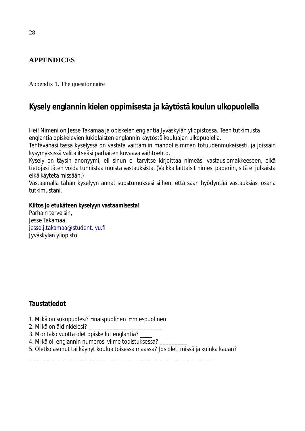# **APPENDICES**

Appendix 1. The questionnaire

# **Kysely englannin kielen oppimisesta ja käytöstä koulun ulkopuolella**

Hei! Nimeni on Jesse Takamaa ja opiskelen englantia Jyväskylän yliopistossa. Teen tutkimusta englantia opiskelevien lukiolaisten englannin käytöstä kouluajan ulkopuolella.

Tehtävänäsi tässä kyselyssä on vastata väittämiin mahdollisimman totuudenmukaisesti, ja joissain kysymyksissä valita itseäsi parhaiten kuvaava vaihtoehto.

Kysely on täysin anonyymi, eli sinun ei tarvitse kirjoittaa nimeäsi vastauslomakkeeseen, eikä tietojasi täten voida tunnistaa muista vastauksista. (Vaikka laittaisit nimesi paperiin, sitä ei julkaista eikä käytetä missään.)

Vastaamalla tähän kyselyyn annat suostumuksesi siihen, että saan hyödyntää vastauksiasi osana tutkimustani.

**Kiitos jo etukäteen kyselyyn vastaamisesta!** Parhain terveisin, Jesse Takamaa jesse.j.takamaa@student.jyu.fi Jyväskylän yliopisto

# **Taustatiedot**

- 1. Mikä on sukupuolesi? □naispuolinen □miespuolinen
- 2. Mikä on äidinkielesi?
- 3. Montako vuotta olet opiskellut englantia? \_\_\_\_
- 4. Mikä oli englannin numerosi viime todistuksessa?
- 5. Oletko asunut tai käynyt koulua toisessa maassa? Jos olet, missä ja kuinka kauan?

\_\_\_\_\_\_\_\_\_\_\_\_\_\_\_\_\_\_\_\_\_\_\_\_\_\_\_\_\_\_\_\_\_\_\_\_\_\_\_\_\_\_\_\_\_\_\_\_\_\_\_\_\_\_\_\_\_\_\_\_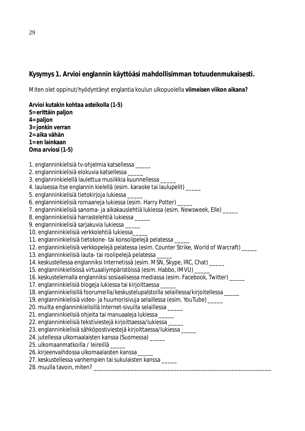# **Kysymys 1. Arvioi englannin käyttöäsi mahdollisimman totuudenmukaisesti.**

Miten olet oppinut/hyödyntänyt englantia koulun ulkopuolella **viimeisen viikon aikana?**

**Arvioi kutakin kohtaa asteikolla (1-5) 5= erittäin paljon 4= paljon 3= jonkin verran 2= aika vähän 1= en lainkaan Oma arviosi (1-5)** 1. englanninkielisiä tv-ohjelmia katsellessa \_\_\_\_\_ 2. englanninkielisiä elokuvia katsellessa \_\_\_\_\_ 3. englanninkielellä laulettua musiikkia kuunnellessa \_\_\_\_\_ 4. laulaessa itse englannin kielellä (esim. karaoke tai laulupelit) \_\_\_\_ 5. englanninkielisiä tietokirjoja lukiessa \_\_\_\_\_ 6. englanninkielisiä romaaneja lukiessa (esim. Harry Potter) \_\_\_\_\_ 7. englanninkielisiä sanoma- ja aikakauslehtiä lukiessa (esim. Newsweek, Elle) \_\_\_\_\_ 8. englanninkielisiä harrastelehtiä lukiessa \_\_\_\_\_ 9. englanninkielisiä sarjakuvia lukiessa \_\_\_\_\_ 10. englanninkielisiä verkkolehtiä lukiessa\_\_\_\_\_ 11. englanninkielisiä tietokone- tai konsolipelejä pelatessa \_\_\_\_\_ 12. englanninkielisiä verkkopelejä pelatessa (esim. Counter Strike, World of Warcraft) \_\_\_\_\_ 13. englanninkielisiä lauta- tai roolipelejä pelatessa \_\_\_\_\_ 14. keskustellessa englanniksi Internetissä (esim. MSN, Skype, IRC, Chat) \_\_\_\_\_ 15. englanninkielisissä virtuaaliympäristöissä (esim. Habbo, IMVU) \_\_\_\_\_ 16. keskustelemalla englanniksi sosiaalisessa mediassa (esim. Facebook, Twitter) \_\_\_\_\_ 17. englanninkielisiä blogeja lukiessa tai kirjoittaessa \_\_\_\_\_ 18. englanninkielisillä foorumeilla/keskustelupalstoilla selaillessa/kirjoitellessa \_\_\_\_\_ 19. englanninkielisiä video- ja huumorisivuja selaillessa (esim. YouTube) \_\_\_\_\_ 20. muilta englanninkielisillä Internet-sivuilla selaillessa \_\_\_\_\_ 21. englanninkielisiä ohjeita tai manuaaleja lukiessa \_\_\_\_\_ 22. englanninkielisiä tekstiviestejä kirjoittaessa/lukiessa \_\_\_\_\_ 23. englanninkielisiä sähköpostiviestejä kirjoittaessa/lukiessa \_\_\_\_\_ 24. jutellessa ulkomaalaisten kanssa (Suomessa) \_\_\_\_\_ 25. ulkomaanmatkoilla / leireillä \_\_\_\_\_ 26. kirjeenvaihdossa ulkomaalaisten kanssa \_\_\_\_\_ 27. keskustellessa vanhempien tai sukulaisten kanssa \_\_\_\_\_ 28. muulla tavoin, miten?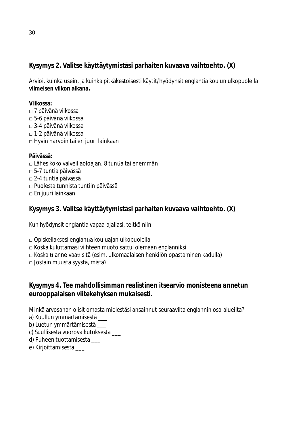**Kysymys 2. Valitse käyttäytymistäsi parhaiten kuvaava vaihtoehto. (X)**

Arvioi, kuinka usein, ja kuinka pitkäkestoisesti käytit/hyödynsit englantia koulun ulkopuolella **viimeisen viikon aikana.**

**Viikossa:**

- □ 7 päivänä viikossa
- □ 5-6 päivänä viikossa
- □ 3-4 päivänä viikossa
- □ 1-2 päivänä viikossa
- □ Hyvin harvoin tai en juuri lainkaan

**Päivässä:**

- $\Box$  Lähes koko valveillaoloajan, 8 tuntia tai enemmän
- □ 5-7 tuntia päivässä
- □ 2-4 tuntia päivässä
- □ Puolesta tunnista tuntiin päivässä
- □ En juuri lainkaan

**Kysymys 3. Valitse käyttäytymistäsi parhaiten kuvaava vaihtoehto. (X)**

Kun hyödynsit englantia vapaa-ajallasi, teitkö niin

□ Opiskellaksesi englantia kouluajan ulkopuolella

- □ Koska kuluttamasi viihteen muoto sattui olemaan englanniksi
- □ Koska Ɵlanne vaaƟ sitä (esim. ulkomaalaisen henkilön opastaminen kadulla)

\_\_\_\_\_\_\_\_\_\_\_\_\_\_\_\_\_\_\_\_\_\_\_\_\_\_\_\_\_\_\_\_\_\_\_\_\_\_\_\_\_\_\_\_\_\_\_\_\_\_\_\_\_\_\_\_\_\_

□ Jostain muusta syystä, mistä?

**Kysymys 4. Tee mahdollisimman realistinen itsearvio monisteena annetun eurooppalaisen viitekehyksen mukaisesti.**

Minkä arvosanan olisit omasta mielestäsi ansainnut seuraavilta englannin osa-alueilta?

a) Kuullun ymmärtämisestä

- b) Luetun ymmärtämisestä \_\_\_
- c) Suullisesta vuorovaikutuksesta \_\_\_
- d) Puheen tuottamisesta \_\_\_
- e) Kirjoittamisesta \_\_\_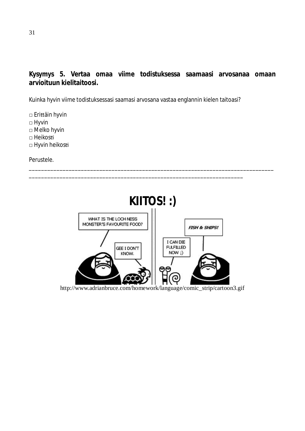# **Kysymys 5. Vertaa omaa viime todistuksessa saamaasi arvosanaa omaan arvioituun kielitaitoosi.**

Kuinka hyvin viime todistuksessasi saamasi arvosana vastaa englannin kielen taitoasi?

\_\_\_\_\_\_\_\_\_\_\_\_\_\_\_\_\_\_\_\_\_\_\_\_\_\_\_\_\_\_\_\_\_\_\_\_\_\_\_\_\_\_\_\_\_\_\_\_\_\_\_\_\_\_\_\_\_\_\_\_\_\_\_\_\_\_\_\_\_\_

□ EriƩäin hyvin □ Hyvin □ Melko hyvin □ Heikosti

□ Hyvin heikosti

Perustele.



\_\_\_\_\_\_\_\_\_\_\_\_\_\_\_\_\_\_\_\_\_\_\_\_\_\_\_\_\_\_\_\_\_\_\_\_\_\_\_\_\_\_\_\_\_\_\_\_\_\_\_\_\_\_\_\_\_\_\_\_\_\_\_\_\_\_\_\_\_\_\_\_\_\_\_\_\_\_\_\_